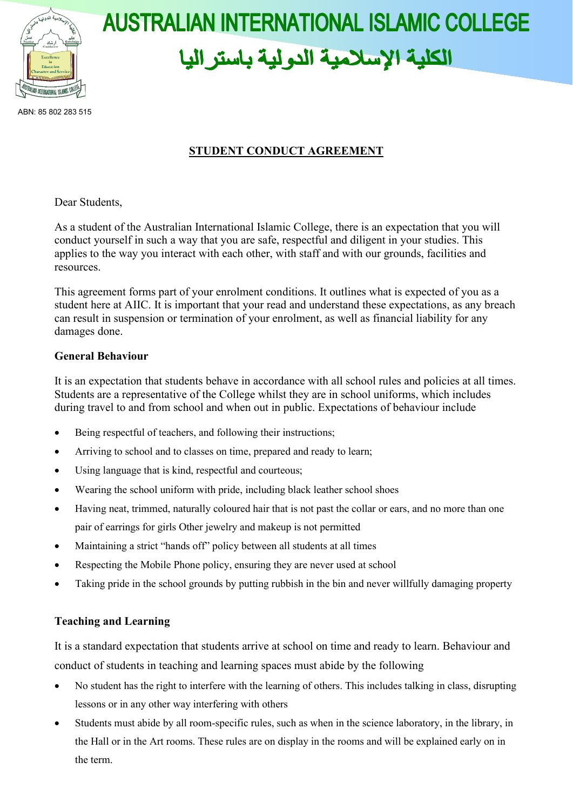

# **AUSTRALIAN INTERNATIONAL ISLAMIC COLLEGE** الكلية الإسلامية الدولية باستر اليا

#### ABN: 85 802 283 515

## **STUDENT CONDUCT AGREEMENT**

Dear Students,

As a student of the Australian International Islamic College, there is an expectation that you will conduct yourself in such a way that you are safe, respectful and diligent in your studies. This applies to the way you interact with each other, with staff and with our grounds, facilities and resources.

This agreement forms part of your enrolment conditions. It outlines what is expected of you as a student here at AIIC. It is important that your read and understand these expectations, as any breach can result in suspension or termination of your enrolment, as well as financial liability for any damages done.

#### **General Behaviour**

It is an expectation that students behave in accordance with all school rules and policies at all times. Students are a representative of the College whilst they are in school uniforms, which includes during travel to and from school and when out in public. Expectations of behaviour include

- Being respectful of teachers, and following their instructions;
- Arriving to school and to classes on time, prepared and ready to learn;
- Using language that is kind, respectful and courteous;
- Wearing the school uniform with pride, including black leather school shoes
- Having neat, trimmed, naturally coloured hair that is not past the collar or ears, and no more than one pair of earrings for girls Other jewelry and makeup is not permitted
- Maintaining a strict "hands off" policy between all students at all times
- Respecting the Mobile Phone policy, ensuring they are never used at school
- Taking pride in the school grounds by putting rubbish in the bin and never willfully damaging property

#### **Teaching and Learning**

It is a standard expectation that students arrive at school on time and ready to learn. Behaviour and conduct of students in teaching and learning spaces must abide by the following

- No student has the right to interfere with the learning of others. This includes talking in class, disrupting lessons or in any other way interfering with others
- Students must abide by all room-specific rules, such as when in the science laboratory, in the library, in the Hall or in the Art rooms. These rules are on display in the rooms and will be explained early on in the term.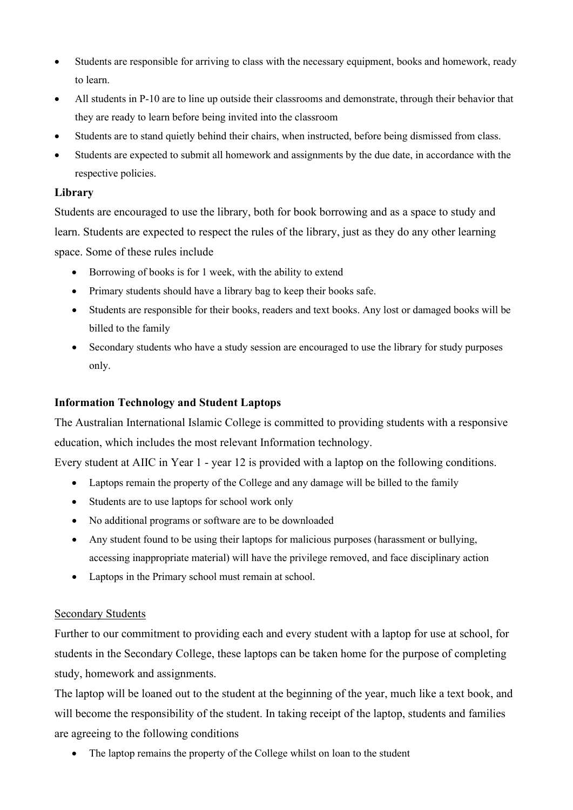- Students are responsible for arriving to class with the necessary equipment, books and homework, ready to learn.
- All students in P-10 are to line up outside their classrooms and demonstrate, through their behavior that they are ready to learn before being invited into the classroom
- Students are to stand quietly behind their chairs, when instructed, before being dismissed from class.
- Students are expected to submit all homework and assignments by the due date, in accordance with the respective policies.

#### **Library**

Students are encouraged to use the library, both for book borrowing and as a space to study and learn. Students are expected to respect the rules of the library, just as they do any other learning space. Some of these rules include

- Borrowing of books is for 1 week, with the ability to extend
- Primary students should have a library bag to keep their books safe.
- Students are responsible for their books, readers and text books. Any lost or damaged books will be billed to the family
- Secondary students who have a study session are encouraged to use the library for study purposes only.

#### **Information Technology and Student Laptops**

The Australian International Islamic College is committed to providing students with a responsive education, which includes the most relevant Information technology.

Every student at AIIC in Year 1 - year 12 is provided with a laptop on the following conditions.

- Laptops remain the property of the College and any damage will be billed to the family
- Students are to use laptops for school work only
- No additional programs or software are to be downloaded
- Any student found to be using their laptops for malicious purposes (harassment or bullying, accessing inappropriate material) will have the privilege removed, and face disciplinary action
- Laptops in the Primary school must remain at school.

#### Secondary Students

Further to our commitment to providing each and every student with a laptop for use at school, for students in the Secondary College, these laptops can be taken home for the purpose of completing study, homework and assignments.

The laptop will be loaned out to the student at the beginning of the year, much like a text book, and will become the responsibility of the student. In taking receipt of the laptop, students and families are agreeing to the following conditions

• The laptop remains the property of the College whilst on loan to the student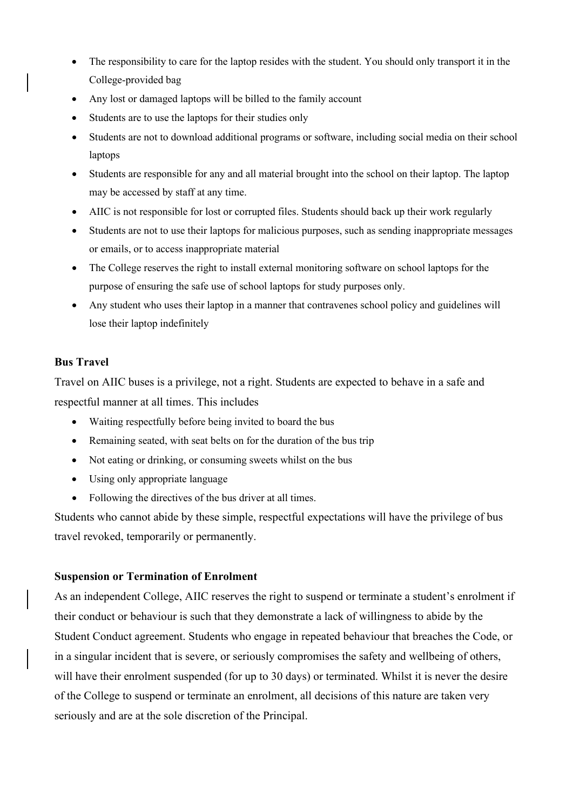- The responsibility to care for the laptop resides with the student. You should only transport it in the College-provided bag
- Any lost or damaged laptops will be billed to the family account
- Students are to use the laptops for their studies only
- Students are not to download additional programs or software, including social media on their school laptops
- Students are responsible for any and all material brought into the school on their laptop. The laptop may be accessed by staff at any time.
- AIIC is not responsible for lost or corrupted files. Students should back up their work regularly
- Students are not to use their laptops for malicious purposes, such as sending inappropriate messages or emails, or to access inappropriate material
- The College reserves the right to install external monitoring software on school laptops for the purpose of ensuring the safe use of school laptops for study purposes only.
- Any student who uses their laptop in a manner that contravenes school policy and guidelines will lose their laptop indefinitely

### **Bus Travel**

Travel on AIIC buses is a privilege, not a right. Students are expected to behave in a safe and respectful manner at all times. This includes

- Waiting respectfully before being invited to board the bus
- Remaining seated, with seat belts on for the duration of the bus trip
- Not eating or drinking, or consuming sweets whilst on the bus
- Using only appropriate language
- Following the directives of the bus driver at all times.

Students who cannot abide by these simple, respectful expectations will have the privilege of bus travel revoked, temporarily or permanently.

#### **Suspension or Termination of Enrolment**

As an independent College, AIIC reserves the right to suspend or terminate a student's enrolment if their conduct or behaviour is such that they demonstrate a lack of willingness to abide by the Student Conduct agreement. Students who engage in repeated behaviour that breaches the Code, or in a singular incident that is severe, or seriously compromises the safety and wellbeing of others, will have their enrolment suspended (for up to 30 days) or terminated. Whilst it is never the desire of the College to suspend or terminate an enrolment, all decisions of this nature are taken very seriously and are at the sole discretion of the Principal.